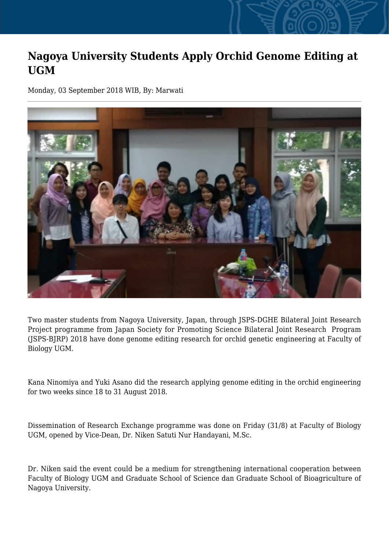## **Nagoya University Students Apply Orchid Genome Editing at UGM**

Monday, 03 September 2018 WIB, By: Marwati



Two master students from Nagoya University, Japan, through JSPS-DGHE Bilateral Joint Research Project programme from Japan Society for Promoting Science Bilateral Joint Research Program (JSPS-BJRP) 2018 have done genome editing research for orchid genetic engineering at Faculty of Biology UGM.

Kana Ninomiya and Yuki Asano did the research applying genome editing in the orchid engineering for two weeks since 18 to 31 August 2018.

Dissemination of Research Exchange programme was done on Friday (31/8) at Faculty of Biology UGM, opened by Vice-Dean, Dr. Niken Satuti Nur Handayani, M.Sc.

Dr. Niken said the event could be a medium for strengthening international cooperation between Faculty of Biology UGM and Graduate School of Science dan Graduate School of Bioagriculture of Nagoya University.